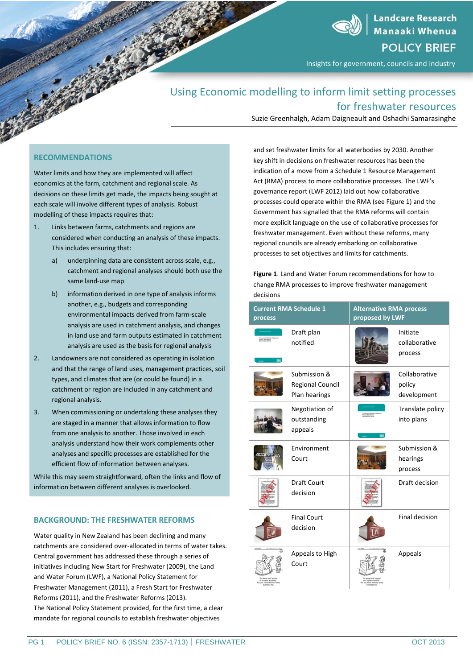**Landcare Research Manaaki Whenua POLICY BRIEF** 

Insights for government, councils and industry

# Using Economic modelling to inform limit setting processes for freshwater resources

Suzie Greenhalgh, Adam Daigneault and Oshadhi Samarasinghe

# **RECOMMENDATIONS**

Water limits and how they are implemented will affect economics at the farm, catchment and regional scale. As decisions on these limits get made, the impacts being sought at each scale will involve different types of analysis. Robust modelling of these impacts requires that:

- 1. Links between farms, catchments and regions are considered when conducting an analysis of these impacts. This includes ensuring that:
	- a) underpinning data are consistent across scale, e.g., catchment and regional analyses should both use the same land-use map
	- b) information derived in one type of analysis informs another, e.g., budgets and corresponding environmental impacts derived from farm-scale analysis are used in catchment analysis, and changes in land use and farm outputs estimated in catchment analysis are used as the basis for regional analysis
- 2. Landowners are not considered as operating in isolation and that the range of land uses, management practices, soil types, and climates that are (or could be found) in a catchment or region are included in any catchment and regional analysis.
- 3. When commissioning or undertaking these analyses they are staged in a manner that allows information to flow from one analysis to another. Those involved in each analysis understand how their work complements other analyses and specific processes are established for the efficient flow of information between analyses.

While this may seem straightforward, often the links and flow of information between different analyses is overlooked.

# **BACKGROUND: THE FRESHWATER REFORMS**

Water quality in New Zealand has been declining and many catchments are considered over-allocated in terms of water takes. Central government has addressed these through a series of initiatives including New Start for Freshwater (2009), the Land and Water Forum (LWF), a National Policy Statement for Freshwater Management (2011), a Fresh Start for Freshwater Reforms (2011), and the Freshwater Reforms (2013). The National Policy Statement provided, for the first time, a clear mandate for regional councils to establish freshwater objectives

and set freshwater limits for all waterbodies by 2030. Another key shift in decisions on freshwater resources has been the indication of a move from a Schedule 1 Resource Management Act (RMA) process to more collaborative processes. The LWF's governance report (LWF 2012) laid out how collaborative processes could operate within the RMA (see Figure 1) and the Government has signalled that the RMA reforms will contain more explicit language on the use of collaborative processes for freshwater management. Even without these reforms, many regional councils are already embarking on collaborative processes to set objectives and limits for catchments.

**Figure 1**. Land and Water Forum recommendations for how to change RMA processes to improve freshwater management decisions

| <b>Current RMA Schedule 1</b><br>process |                                                   | <b>Alternative RMA process</b><br>proposed by LWF |                                        |
|------------------------------------------|---------------------------------------------------|---------------------------------------------------|----------------------------------------|
| 350                                      | Draft plan<br>notified                            |                                                   | Initiate<br>collaborative<br>process   |
|                                          | Submission &<br>Regional Council<br>Plan hearings |                                                   | Collaborative<br>policy<br>development |
|                                          | Negotiation of<br>outstanding<br>appeals          |                                                   | Translate policy<br>into plans         |
|                                          | Environment<br>Court                              |                                                   | Submission &<br>hearings<br>process    |
|                                          | <b>Draft Court</b><br>decision                    |                                                   | Draft decision                         |
|                                          | <b>Final Court</b><br>decision                    |                                                   | Final decision                         |
|                                          | Appeals to High<br>Court                          |                                                   | Appeals                                |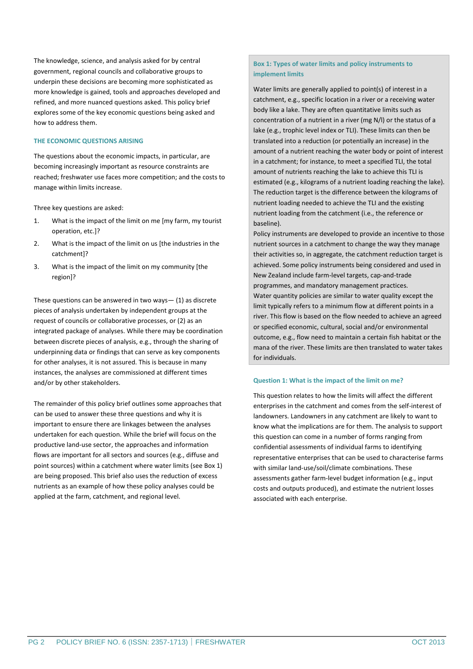The knowledge, science, and analysis asked for by central government, regional councils and collaborative groups to underpin these decisions are becoming more sophisticated as more knowledge is gained, tools and approaches developed and refined, and more nuanced questions asked. This policy brief explores some of the key economic questions being asked and how to address them.

#### **THE ECONOMIC QUESTIONS ARISING**

The questions about the economic impacts, in particular, are becoming increasingly important as resource constraints are reached; freshwater use faces more competition; and the costs to manage within limits increase.

Three key questions are asked:

- 1. What is the impact of the limit on me [my farm, my tourist operation, etc.]?
- 2. What is the impact of the limit on us [the industries in the catchment]?
- 3. What is the impact of the limit on my community [the region]?

These questions can be answered in two ways— (1) as discrete pieces of analysis undertaken by independent groups at the request of councils or collaborative processes, or (2) as an integrated package of analyses. While there may be coordination between discrete pieces of analysis, e.g., through the sharing of underpinning data or findings that can serve as key components for other analyses, it is not assured. This is because in many instances, the analyses are commissioned at different times and/or by other stakeholders.

The remainder of this policy brief outlines some approaches that can be used to answer these three questions and why it is important to ensure there are linkages between the analyses undertaken for each question. While the brief will focus on the productive land-use sector, the approaches and information flows are important for all sectors and sources (e.g., diffuse and point sources) within a catchment where water limits (see Box 1) are being proposed. This brief also uses the reduction of excess nutrients as an example of how these policy analyses could be applied at the farm, catchment, and regional level.

# **Box 1: Types of water limits and policy instruments to implement limits**

Water limits are generally applied to point(s) of interest in a catchment, e.g., specific location in a river or a receiving water body like a lake. They are often quantitative limits such as concentration of a nutrient in a river (mg N/l) or the status of a lake (e.g., trophic level index or TLI). These limits can then be translated into a reduction (or potentially an increase) in the amount of a nutrient reaching the water body or point of interest in a catchment; for instance, to meet a specified TLI, the total amount of nutrients reaching the lake to achieve this TLI is estimated (e.g., kilograms of a nutrient loading reaching the lake). The reduction target is the difference between the kilograms of nutrient loading needed to achieve the TLI and the existing nutrient loading from the catchment (i.e., the reference or baseline).

Policy instruments are developed to provide an incentive to those nutrient sources in a catchment to change the way they manage their activities so, in aggregate, the catchment reduction target is achieved. Some policy instruments being considered and used in New Zealand include farm-level targets, cap-and-trade programmes, and mandatory management practices. Water quantity policies are similar to water quality except the limit typically refers to a minimum flow at different points in a river. This flow is based on the flow needed to achieve an agreed or specified economic, cultural, social and/or environmental outcome, e.g., flow need to maintain a certain fish habitat or the mana of the river. These limits are then translated to water takes for individuals.

#### **Question 1: What is the impact of the limit on me?**

This question relates to how the limits will affect the different enterprises in the catchment and comes from the self-interest of landowners. Landowners in any catchment are likely to want to know what the implications are for them. The analysis to support this question can come in a number of forms ranging from confidential assessments of individual farms to identifying representative enterprises that can be used to characterise farms with similar land-use/soil/climate combinations. These assessments gather farm-level budget information (e.g., input costs and outputs produced), and estimate the nutrient losses associated with each enterprise.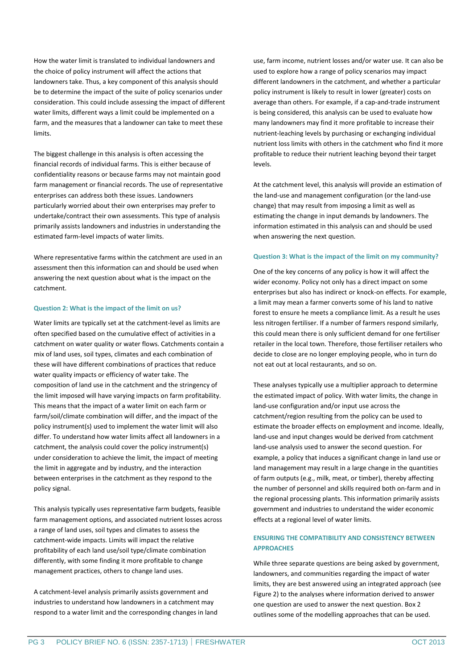How the water limit is translated to individual landowners and the choice of policy instrument will affect the actions that landowners take. Thus, a key component of this analysis should be to determine the impact of the suite of policy scenarios under consideration. This could include assessing the impact of different water limits, different ways a limit could be implemented on a farm, and the measures that a landowner can take to meet these limits.

The biggest challenge in this analysis is often accessing the financial records of individual farms. This is either because of confidentiality reasons or because farms may not maintain good farm management or financial records. The use of representative enterprises can address both these issues. Landowners particularly worried about their own enterprises may prefer to undertake/contract their own assessments. This type of analysis primarily assists landowners and industries in understanding the estimated farm-level impacts of water limits.

Where representative farms within the catchment are used in an assessment then this information can and should be used when answering the next question about what is the impact on the catchment.

#### **Question 2: What is the impact of the limit on us?**

Water limits are typically set at the catchment-level as limits are often specified based on the cumulative effect of activities in a catchment on water quality or water flows. Catchments contain a mix of land uses, soil types, climates and each combination of these will have different combinations of practices that reduce water quality impacts or efficiency of water take. The composition of land use in the catchment and the stringency of the limit imposed will have varying impacts on farm profitability. This means that the impact of a water limit on each farm or farm/soil/climate combination will differ, and the impact of the policy instrument(s) used to implement the water limit will also differ. To understand how water limits affect all landowners in a catchment, the analysis could cover the policy instrument(s) under consideration to achieve the limit, the impact of meeting the limit in aggregate and by industry, and the interaction between enterprises in the catchment as they respond to the policy signal.

This analysis typically uses representative farm budgets, feasible farm management options, and associated nutrient losses across a range of land uses, soil types and climates to assess the catchment-wide impacts. Limits will impact the relative profitability of each land use/soil type/climate combination differently, with some finding it more profitable to change management practices, others to change land uses.

A catchment-level analysis primarily assists government and industries to understand how landowners in a catchment may respond to a water limit and the corresponding changes in land use, farm income, nutrient losses and/or water use. It can also be used to explore how a range of policy scenarios may impact different landowners in the catchment, and whether a particular policy instrument is likely to result in lower (greater) costs on average than others. For example, if a cap-and-trade instrument is being considered, this analysis can be used to evaluate how many landowners may find it more profitable to increase their nutrient-leaching levels by purchasing or exchanging individual nutrient loss limits with others in the catchment who find it more profitable to reduce their nutrient leaching beyond their target levels.

At the catchment level, this analysis will provide an estimation of the land-use and management configuration (or the land-use change) that may result from imposing a limit as well as estimating the change in input demands by landowners. The information estimated in this analysis can and should be used when answering the next question.

#### **Question 3: What is the impact of the limit on my community?**

One of the key concerns of any policy is how it will affect the wider economy. Policy not only has a direct impact on some enterprises but also has indirect or knock-on effects. For example, a limit may mean a farmer converts some of his land to native forest to ensure he meets a compliance limit. As a result he uses less nitrogen fertiliser. If a number of farmers respond similarly, this could mean there is only sufficient demand for one fertiliser retailer in the local town. Therefore, those fertiliser retailers who decide to close are no longer employing people, who in turn do not eat out at local restaurants, and so on.

These analyses typically use a multiplier approach to determine the estimated impact of policy. With water limits, the change in land-use configuration and/or input use across the catchment/region resulting from the policy can be used to estimate the broader effects on employment and income. Ideally, land-use and input changes would be derived from catchment land-use analysis used to answer the second question. For example, a policy that induces a significant change in land use or land management may result in a large change in the quantities of farm outputs (e.g., milk, meat, or timber), thereby affecting the number of personnel and skills required both on-farm and in the regional processing plants. This information primarily assists government and industries to understand the wider economic effects at a regional level of water limits.

# **ENSURING THE COMPATIBILITY AND CONSISTENCY BETWEEN APPROACHES**

While three separate questions are being asked by government, landowners, and communities regarding the impact of water limits, they are best answered using an integrated approach (see Figure 2) to the analyses where information derived to answer one question are used to answer the next question. Box 2 outlines some of the modelling approaches that can be used.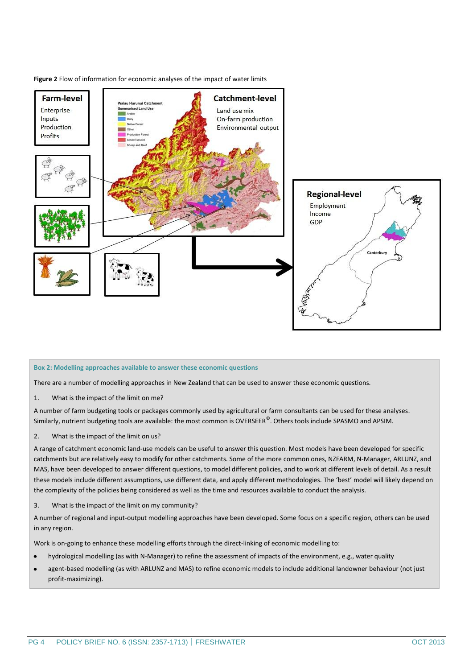

**Figure 2** Flow of information for economic analyses of the impact of water limits

# **Box 2: Modelling approaches available to answer these economic questions**

There are a number of modelling approaches in New Zealand that can be used to answer these economic questions.

1. What is the impact of the limit on me?

A number of farm budgeting tools or packages commonly used by agricultural or farm consultants can be used for these analyses. Similarly, nutrient budgeting tools are available: the most common is OVERSEER $^\copyright$ . Others tools include SPASMO and APSIM.

2. What is the impact of the limit on us?

A range of catchment economic land-use models can be useful to answer this question. Most models have been developed for specific catchments but are relatively easy to modify for other catchments. Some of the more common ones, NZFARM, N-Manager, ARLUNZ, and MAS, have been developed to answer different questions, to model different policies, and to work at different levels of detail. As a result these models include different assumptions, use different data, and apply different methodologies. The 'best' model will likely depend on the complexity of the policies being considered as well as the time and resources available to conduct the analysis.

3. What is the impact of the limit on my community?

A number of regional and input-output modelling approaches have been developed. Some focus on a specific region, others can be used in any region.

Work is on-going to enhance these modelling efforts through the direct-linking of economic modelling to:

- hydrological modelling (as with N-Manager) to refine the assessment of impacts of the environment, e.g., water quality  $\bullet$
- agent-based modelling (as with ARLUNZ and MAS) to refine economic models to include additional landowner behaviour (not just  $\bullet$ profit-maximizing).